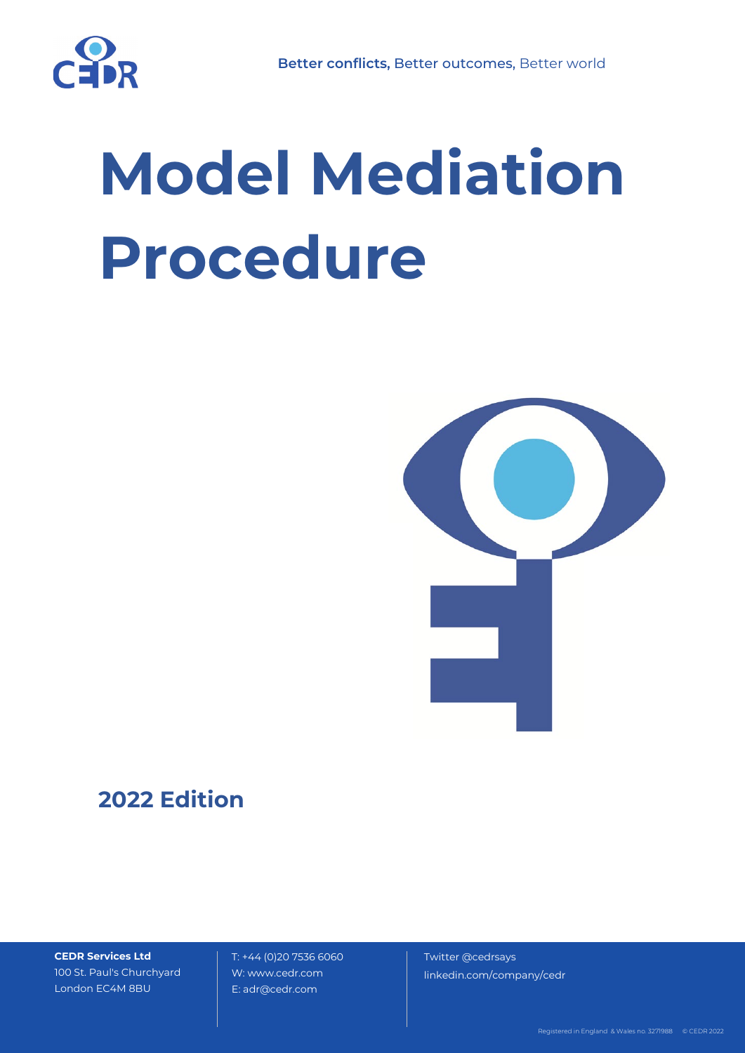

# **Model Mediation Procedure**



# **2022 Edition**

**CEDR Services Ltd** 100 St. Paul's Churchyard London EC4M 8BU

T: +44 (0)20 7536 6060 W: www.cedr.com E: adr@cedr.com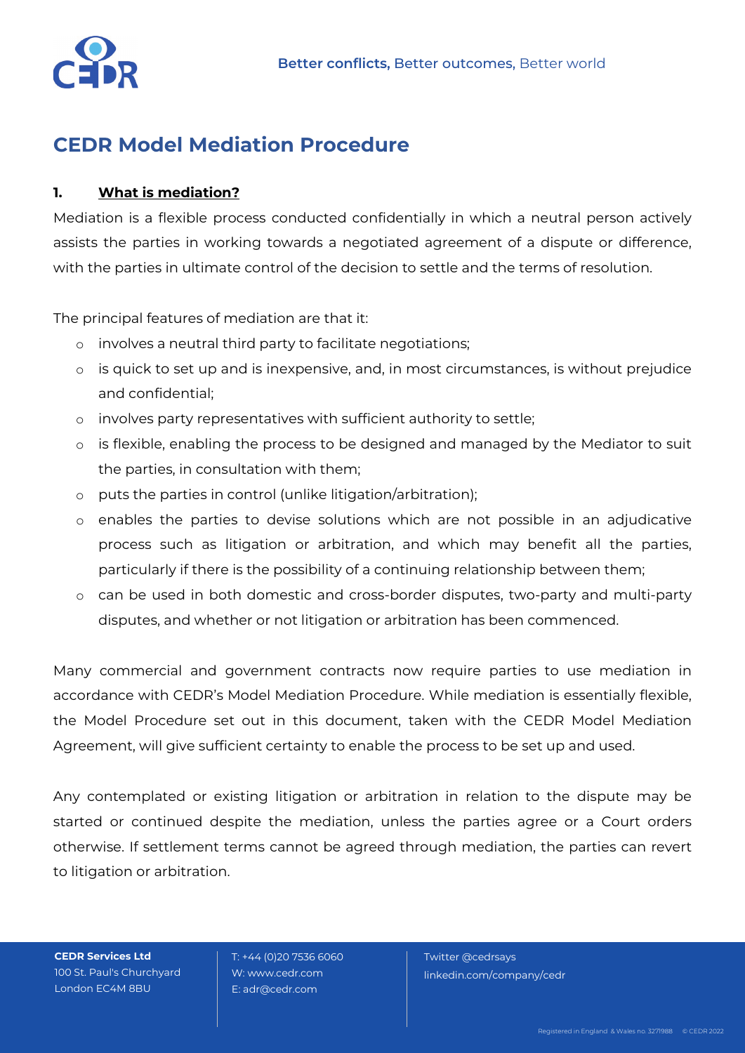

## **CEDR Model Mediation Procedure**

## **1. What is mediation?**

Mediation is a flexible process conducted confidentially in which a neutral person actively assists the parties in working towards a negotiated agreement of a dispute or difference, with the parties in ultimate control of the decision to settle and the terms of resolution.

The principal features of mediation are that it:

- o involves a neutral third party to facilitate negotiations;
- o is quick to set up and is inexpensive, and, in most circumstances, is without prejudice and confidential;
- o involves party representatives with sufficient authority to settle;
- o is flexible, enabling the process to be designed and managed by the Mediator to suit the parties, in consultation with them;
- o puts the parties in control (unlike litigation/arbitration);
- o enables the parties to devise solutions which are not possible in an adjudicative process such as litigation or arbitration, and which may benefit all the parties, particularly if there is the possibility of a continuing relationship between them;
- o can be used in both domestic and cross-border disputes, two-party and multi-party disputes, and whether or not litigation or arbitration has been commenced.

Many commercial and government contracts now require parties to use mediation in accordance with CEDR's Model Mediation Procedure. While mediation is essentially flexible, the Model Procedure set out in this document, taken with the CEDR Model Mediation Agreement, will give sufficient certainty to enable the process to be set up and used.

Any contemplated or existing litigation or arbitration in relation to the dispute may be started or continued despite the mediation, unless the parties agree or a Court orders otherwise. If settlement terms cannot be agreed through mediation, the parties can revert to litigation or arbitration.

**CEDR Services Ltd** 100 St. Paul's Churchyard London EC4M 8BU

 T: +44 (0)20 7536 6060 W: www.cedr.com E: adr@cedr.com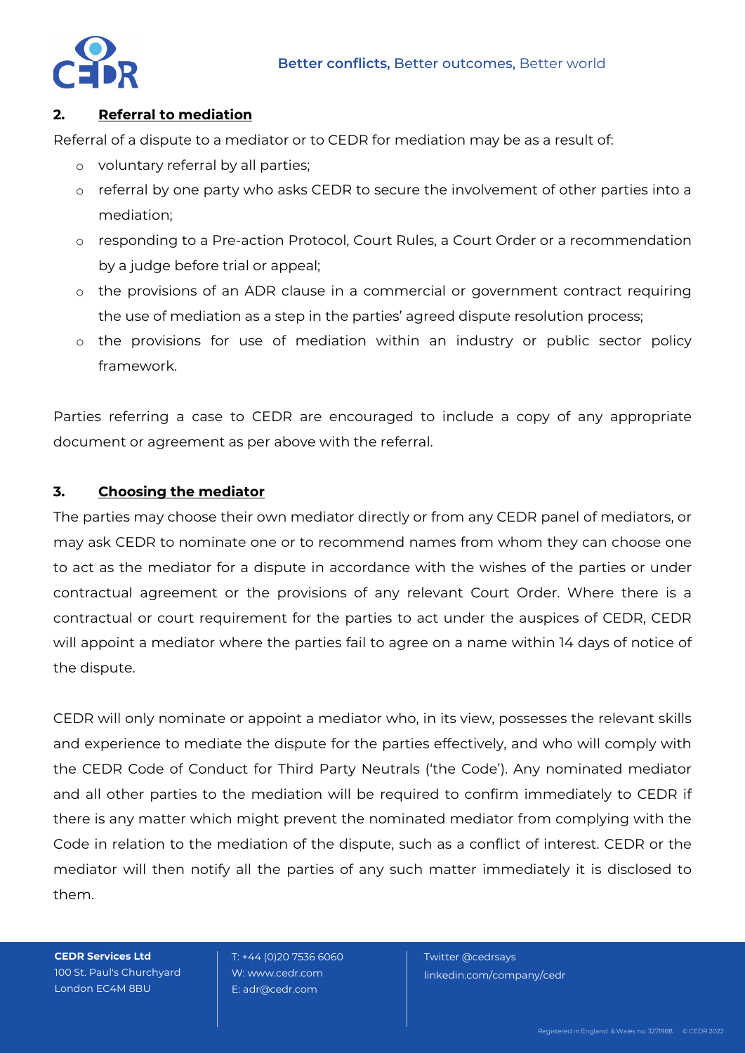

### **2. Referral to mediation**

Referral of a dispute to a mediator or to CEDR for mediation may be as a result of:

- o voluntary referral by all parties;
- o referral by one party who asks CEDR to secure the involvement of other parties into a mediation;
- o responding to a Pre-action Protocol, Court Rules, a Court Order or a recommendation by a judge before trial or appeal;
- o the provisions of an ADR clause in a commercial or government contract requiring the use of mediation as a step in the parties' agreed dispute resolution process;
- o the provisions for use of mediation within an industry or public sector policy framework.

Parties referring a case to CEDR are encouraged to include a copy of any appropriate document or agreement as per above with the referral.

## **3. Choosing the mediator**

The parties may choose their own mediator directly or from any CEDR panel of mediators, or may ask CEDR to nominate one or to recommend names from whom they can choose one to act as the mediator for a dispute in accordance with the wishes of the parties or under contractual agreement or the provisions of any relevant Court Order. Where there is a contractual or court requirement for the parties to act under the auspices of CEDR, CEDR will appoint a mediator where the parties fail to agree on a name within 14 days of notice of the dispute.

CEDR will only nominate or appoint a mediator who, in its view, possesses the relevant skills and experience to mediate the dispute for the parties effectively, and who will comply with the CEDR Code of Conduct for Third Party Neutrals ('the Code'). Any nominated mediator and all other parties to the mediation will be required to confirm immediately to CEDR if there is any matter which might prevent the nominated mediator from complying with the Code in relation to the mediation of the dispute, such as a conflict of interest. CEDR or the mediator will then notify all the parties of any such matter immediately it is disclosed to them.

**CEDR Services Ltd** 100 St. Paul's Churchyard London EC4M 8BU

 T: +44 (0)20 7536 6060 W: www.cedr.com E: adr@cedr.com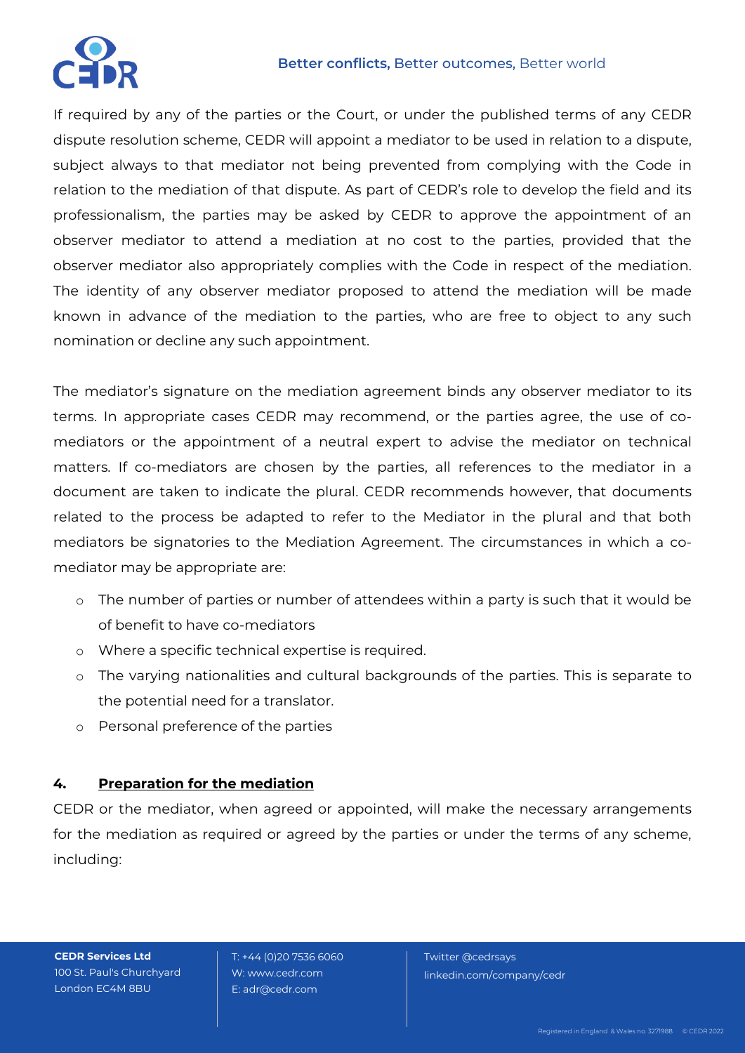

#### **Better conflicts,** Better outcomes, Better world

If required by any of the parties or the Court, or under the published terms of any CEDR dispute resolution scheme, CEDR will appoint a mediator to be used in relation to a dispute, subject always to that mediator not being prevented from complying with the Code in relation to the mediation of that dispute. As part of CEDR's role to develop the field and its professionalism, the parties may be asked by CEDR to approve the appointment of an observer mediator to attend a mediation at no cost to the parties, provided that the observer mediator also appropriately complies with the Code in respect of the mediation. The identity of any observer mediator proposed to attend the mediation will be made known in advance of the mediation to the parties, who are free to object to any such nomination or decline any such appointment.

The mediator's signature on the mediation agreement binds any observer mediator to its terms. In appropriate cases CEDR may recommend, or the parties agree, the use of comediators or the appointment of a neutral expert to advise the mediator on technical matters. If co-mediators are chosen by the parties, all references to the mediator in a document are taken to indicate the plural. CEDR recommends however, that documents related to the process be adapted to refer to the Mediator in the plural and that both mediators be signatories to the Mediation Agreement. The circumstances in which a comediator may be appropriate are:

- o The number of parties or number of attendees within a party is such that it would be of benefit to have co-mediators
- o Where a specific technical expertise is required.
- o The varying nationalities and cultural backgrounds of the parties. This is separate to the potential need for a translator.
- o Personal preference of the parties

## **4. Preparation for the mediation**

CEDR or the mediator, when agreed or appointed, will make the necessary arrangements for the mediation as required or agreed by the parties or under the terms of any scheme, including:

**CEDR Services Ltd** 100 St. Paul's Churchyard London EC4M 8BU

 T: +44 (0)20 7536 6060 W: www.cedr.com E: adr@cedr.com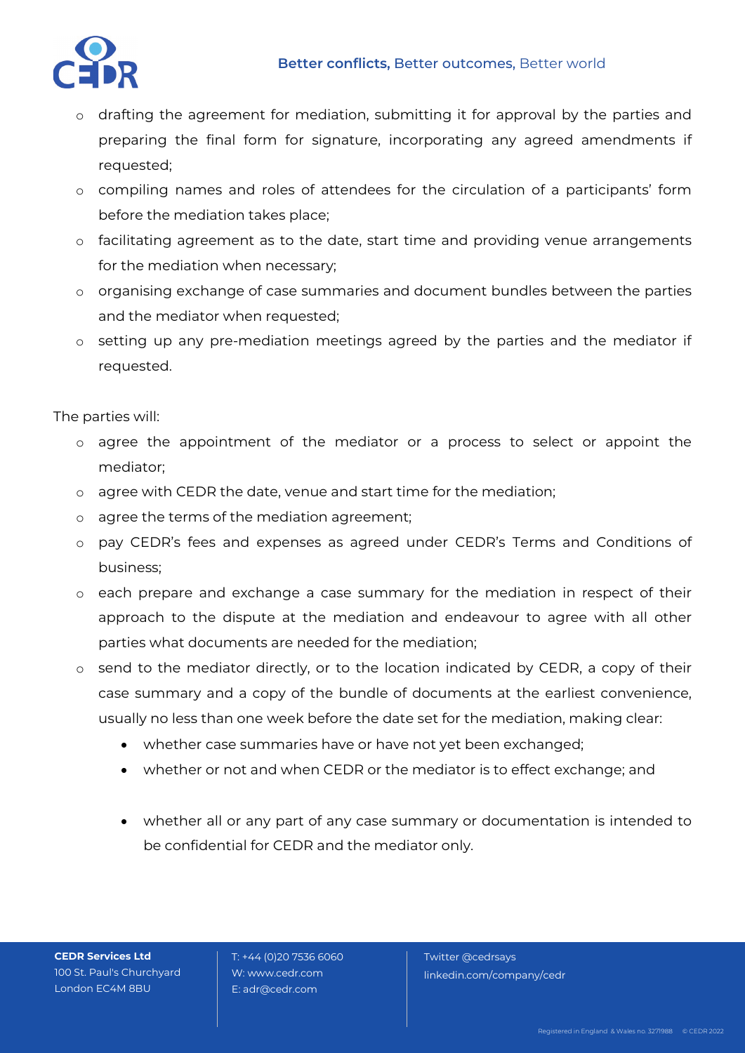

- o drafting the agreement for mediation, submitting it for approval by the parties and preparing the final form for signature, incorporating any agreed amendments if requested;
- o compiling names and roles of attendees for the circulation of a participants' form before the mediation takes place;
- o facilitating agreement as to the date, start time and providing venue arrangements for the mediation when necessary;
- o organising exchange of case summaries and document bundles between the parties and the mediator when requested;
- o setting up any pre-mediation meetings agreed by the parties and the mediator if requested.

The parties will:

- o agree the appointment of the mediator or a process to select or appoint the mediator;
- o agree with CEDR the date, venue and start time for the mediation;
- o agree the terms of the mediation agreement;
- o pay CEDR's fees and expenses as agreed under CEDR's Terms and Conditions of business;
- o each prepare and exchange a case summary for the mediation in respect of their approach to the dispute at the mediation and endeavour to agree with all other parties what documents are needed for the mediation;
- o send to the mediator directly, or to the location indicated by CEDR, a copy of their case summary and a copy of the bundle of documents at the earliest convenience, usually no less than one week before the date set for the mediation, making clear:
	- whether case summaries have or have not yet been exchanged;
	- whether or not and when CEDR or the mediator is to effect exchange; and
	- whether all or any part of any case summary or documentation is intended to be confidential for CEDR and the mediator only.

**CEDR Services Ltd** 100 St. Paul's Churchyard London EC4M 8BU

 T: +44 (0)20 7536 6060 W: www.cedr.com E: adr@cedr.com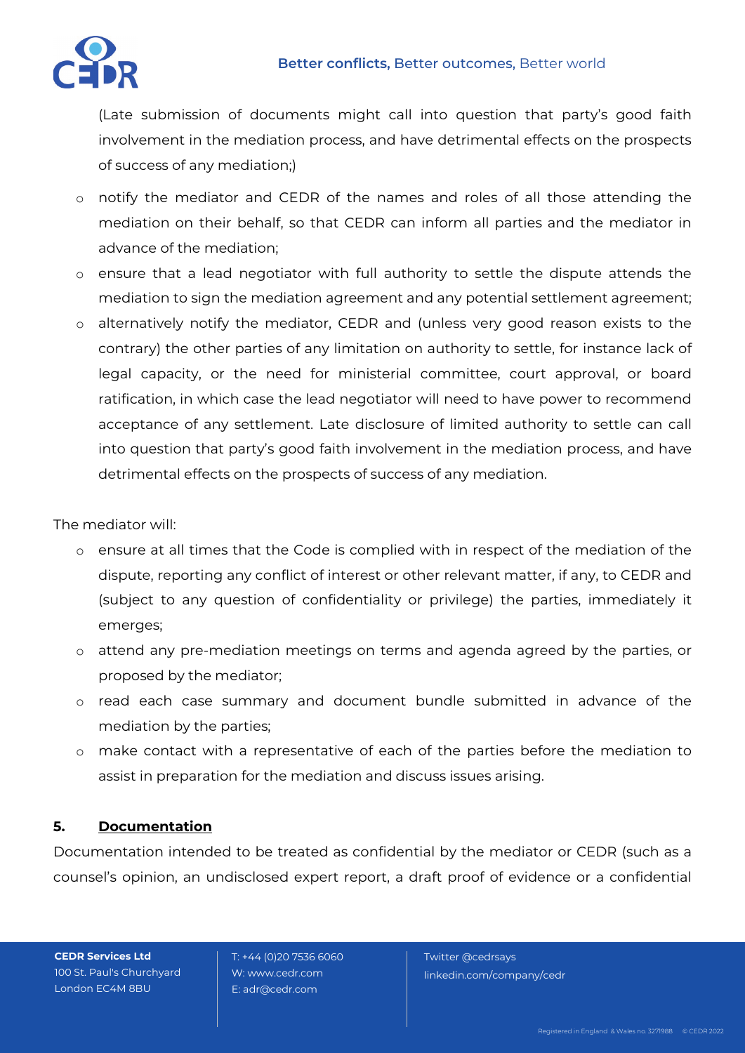

(Late submission of documents might call into question that party's good faith involvement in the mediation process, and have detrimental effects on the prospects of success of any mediation;)

- o notify the mediator and CEDR of the names and roles of all those attending the mediation on their behalf, so that CEDR can inform all parties and the mediator in advance of the mediation;
- o ensure that a lead negotiator with full authority to settle the dispute attends the mediation to sign the mediation agreement and any potential settlement agreement;
- o alternatively notify the mediator, CEDR and (unless very good reason exists to the contrary) the other parties of any limitation on authority to settle, for instance lack of legal capacity, or the need for ministerial committee, court approval, or board ratification, in which case the lead negotiator will need to have power to recommend acceptance of any settlement. Late disclosure of limited authority to settle can call into question that party's good faith involvement in the mediation process, and have detrimental effects on the prospects of success of any mediation.

The mediator will:

- o ensure at all times that the Code is complied with in respect of the mediation of the dispute, reporting any conflict of interest or other relevant matter, if any, to CEDR and (subject to any question of confidentiality or privilege) the parties, immediately it emerges;
- o attend any pre-mediation meetings on terms and agenda agreed by the parties, or proposed by the mediator;
- o read each case summary and document bundle submitted in advance of the mediation by the parties;
- o make contact with a representative of each of the parties before the mediation to assist in preparation for the mediation and discuss issues arising.

## **5. Documentation**

Documentation intended to be treated as confidential by the mediator or CEDR (such as a counsel's opinion, an undisclosed expert report, a draft proof of evidence or a confidential

**CEDR Services Ltd** 100 St. Paul's Churchyard London EC4M 8BU

 T: +44 (0)20 7536 6060 W: www.cedr.com E: adr@cedr.com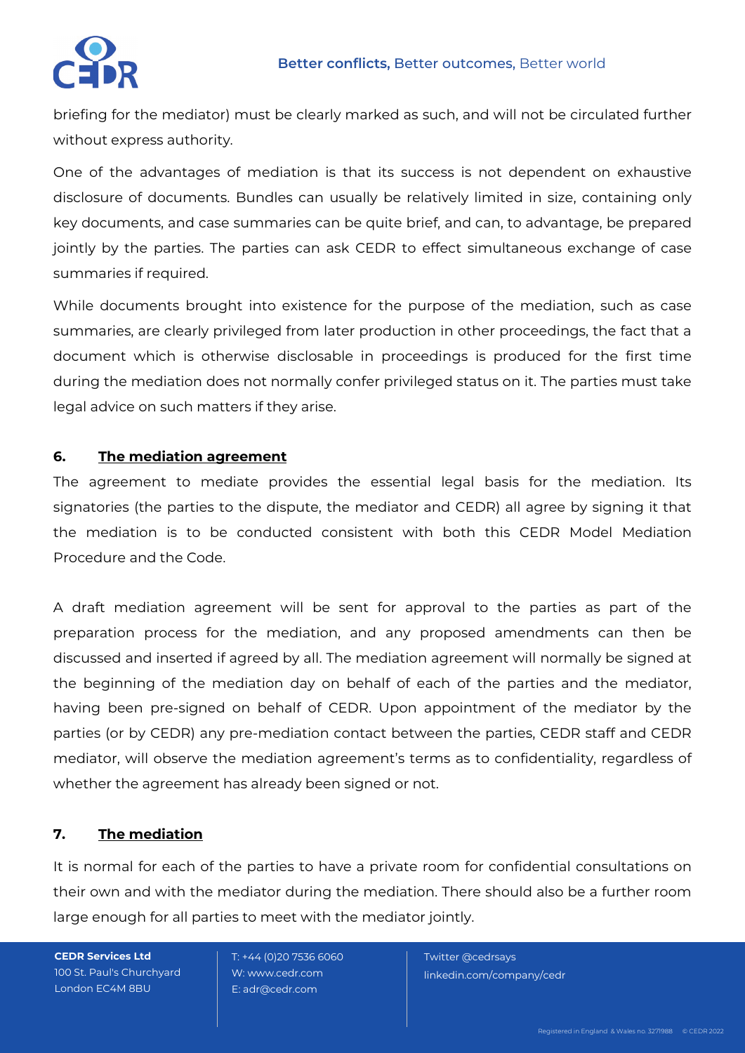

briefing for the mediator) must be clearly marked as such, and will not be circulated further without express authority.

One of the advantages of mediation is that its success is not dependent on exhaustive disclosure of documents. Bundles can usually be relatively limited in size, containing only key documents, and case summaries can be quite brief, and can, to advantage, be prepared jointly by the parties. The parties can ask CEDR to effect simultaneous exchange of case summaries if required.

While documents brought into existence for the purpose of the mediation, such as case summaries, are clearly privileged from later production in other proceedings, the fact that a document which is otherwise disclosable in proceedings is produced for the first time during the mediation does not normally confer privileged status on it. The parties must take legal advice on such matters if they arise.

## **6. The mediation agreement**

The agreement to mediate provides the essential legal basis for the mediation. Its signatories (the parties to the dispute, the mediator and CEDR) all agree by signing it that the mediation is to be conducted consistent with both this CEDR Model Mediation Procedure and the Code.

A draft mediation agreement will be sent for approval to the parties as part of the preparation process for the mediation, and any proposed amendments can then be discussed and inserted if agreed by all. The mediation agreement will normally be signed at the beginning of the mediation day on behalf of each of the parties and the mediator, having been pre-signed on behalf of CEDR. Upon appointment of the mediator by the parties (or by CEDR) any pre-mediation contact between the parties, CEDR staff and CEDR mediator, will observe the mediation agreement's terms as to confidentiality, regardless of whether the agreement has already been signed or not.

## **7. The mediation**

It is normal for each of the parties to have a private room for confidential consultations on their own and with the mediator during the mediation. There should also be a further room large enough for all parties to meet with the mediator jointly.

**CEDR Services Ltd** 100 St. Paul's Churchyard London EC4M 8BU

 T: +44 (0)20 7536 6060 W: www.cedr.com E: adr@cedr.com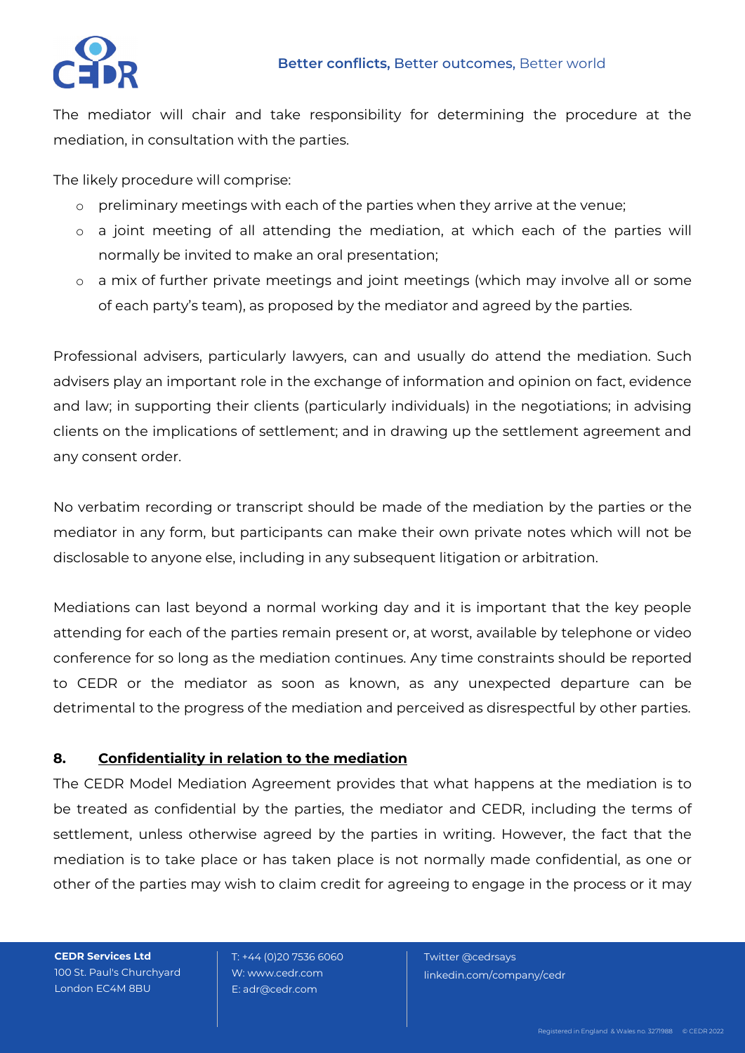

The mediator will chair and take responsibility for determining the procedure at the mediation, in consultation with the parties.

The likely procedure will comprise:

- o preliminary meetings with each of the parties when they arrive at the venue;
- o a joint meeting of all attending the mediation, at which each of the parties will normally be invited to make an oral presentation;
- o a mix of further private meetings and joint meetings (which may involve all or some of each party's team), as proposed by the mediator and agreed by the parties.

Professional advisers, particularly lawyers, can and usually do attend the mediation. Such advisers play an important role in the exchange of information and opinion on fact, evidence and law; in supporting their clients (particularly individuals) in the negotiations; in advising clients on the implications of settlement; and in drawing up the settlement agreement and any consent order.

No verbatim recording or transcript should be made of the mediation by the parties or the mediator in any form, but participants can make their own private notes which will not be disclosable to anyone else, including in any subsequent litigation or arbitration.

Mediations can last beyond a normal working day and it is important that the key people attending for each of the parties remain present or, at worst, available by telephone or video conference for so long as the mediation continues. Any time constraints should be reported to CEDR or the mediator as soon as known, as any unexpected departure can be detrimental to the progress of the mediation and perceived as disrespectful by other parties.

## **8. Confidentiality in relation to the mediation**

The CEDR Model Mediation Agreement provides that what happens at the mediation is to be treated as confidential by the parties, the mediator and CEDR, including the terms of settlement, unless otherwise agreed by the parties in writing. However, the fact that the mediation is to take place or has taken place is not normally made confidential, as one or other of the parties may wish to claim credit for agreeing to engage in the process or it may

**CEDR Services Ltd** 100 St. Paul's Churchyard London EC4M 8BU

 T: +44 (0)20 7536 6060 W: www.cedr.com E: adr@cedr.com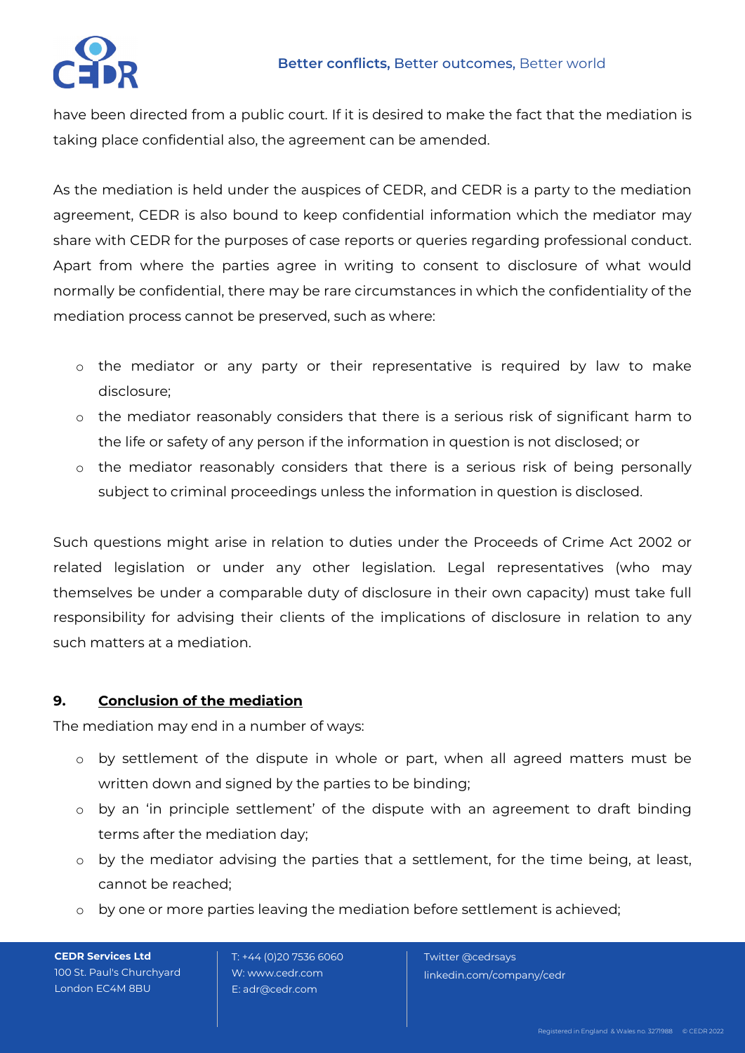

have been directed from a public court. If it is desired to make the fact that the mediation is taking place confidential also, the agreement can be amended.

As the mediation is held under the auspices of CEDR, and CEDR is a party to the mediation agreement, CEDR is also bound to keep confidential information which the mediator may share with CEDR for the purposes of case reports or queries regarding professional conduct. Apart from where the parties agree in writing to consent to disclosure of what would normally be confidential, there may be rare circumstances in which the confidentiality of the mediation process cannot be preserved, such as where:

- o the mediator or any party or their representative is required by law to make disclosure;
- o the mediator reasonably considers that there is a serious risk of significant harm to the life or safety of any person if the information in question is not disclosed; or
- o the mediator reasonably considers that there is a serious risk of being personally subject to criminal proceedings unless the information in question is disclosed.

Such questions might arise in relation to duties under the Proceeds of Crime Act 2002 or related legislation or under any other legislation. Legal representatives (who may themselves be under a comparable duty of disclosure in their own capacity) must take full responsibility for advising their clients of the implications of disclosure in relation to any such matters at a mediation.

## **9. Conclusion of the mediation**

The mediation may end in a number of ways:

- o by settlement of the dispute in whole or part, when all agreed matters must be written down and signed by the parties to be binding;
- o by an 'in principle settlement' of the dispute with an agreement to draft binding terms after the mediation day;
- o by the mediator advising the parties that a settlement, for the time being, at least, cannot be reached;
- o by one or more parties leaving the mediation before settlement is achieved;

**CEDR Services Ltd** 100 St. Paul's Churchyard London EC4M 8BU

 T: +44 (0)20 7536 6060 W: www.cedr.com E: adr@cedr.com

Twitter @cedrsays

linkedin.com/company/cedr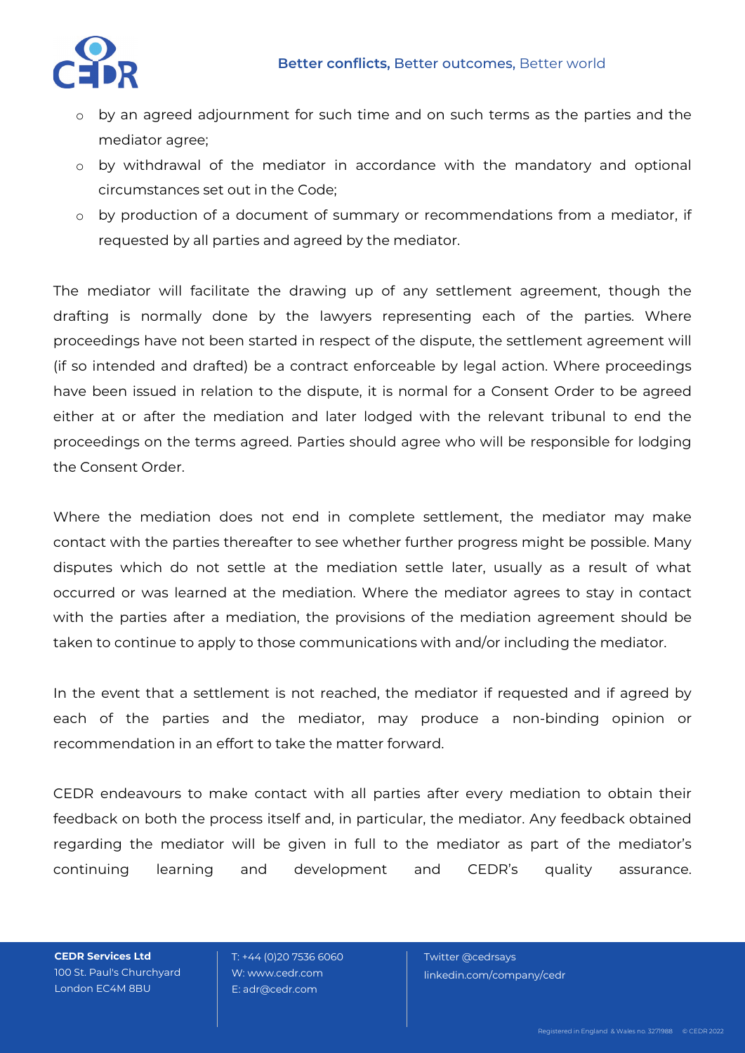

- o by an agreed adjournment for such time and on such terms as the parties and the mediator agree;
- o by withdrawal of the mediator in accordance with the mandatory and optional circumstances set out in the Code;
- o by production of a document of summary or recommendations from a mediator, if requested by all parties and agreed by the mediator.

The mediator will facilitate the drawing up of any settlement agreement, though the drafting is normally done by the lawyers representing each of the parties. Where proceedings have not been started in respect of the dispute, the settlement agreement will (if so intended and drafted) be a contract enforceable by legal action. Where proceedings have been issued in relation to the dispute, it is normal for a Consent Order to be agreed either at or after the mediation and later lodged with the relevant tribunal to end the proceedings on the terms agreed. Parties should agree who will be responsible for lodging the Consent Order.

Where the mediation does not end in complete settlement, the mediator may make contact with the parties thereafter to see whether further progress might be possible. Many disputes which do not settle at the mediation settle later, usually as a result of what occurred or was learned at the mediation. Where the mediator agrees to stay in contact with the parties after a mediation, the provisions of the mediation agreement should be taken to continue to apply to those communications with and/or including the mediator.

In the event that a settlement is not reached, the mediator if requested and if agreed by each of the parties and the mediator, may produce a non-binding opinion or recommendation in an effort to take the matter forward.

CEDR endeavours to make contact with all parties after every mediation to obtain their feedback on both the process itself and, in particular, the mediator. Any feedback obtained regarding the mediator will be given in full to the mediator as part of the mediator's continuing learning and development and CEDR's quality assurance.

**CEDR Services Ltd** 100 St. Paul's Churchyard London EC4M 8BU

 T: +44 (0)20 7536 6060 W: www.cedr.com E: adr@cedr.com